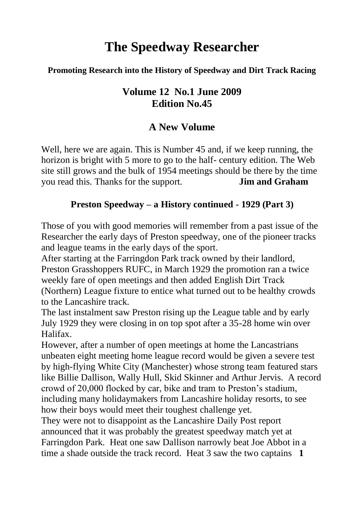# **The Speedway Researcher**

#### **Promoting Research into the History of Speedway and Dirt Track Racing**

## **Volume 12 No.1 June 2009 Edition No.45**

# **A New Volume**

Well, here we are again. This is Number 45 and, if we keep running, the horizon is bright with 5 more to go to the half- century edition. The Web site still grows and the bulk of 1954 meetings should be there by the time you read this. Thanks for the support. **Jim and Graham**

#### **Preston Speedway – a History continued - 1929 (Part 3)**

Those of you with good memories will remember from a past issue of the Researcher the early days of Preston speedway, one of the pioneer tracks and league teams in the early days of the sport.

After starting at the Farringdon Park track owned by their landlord, Preston Grasshoppers RUFC, in March 1929 the promotion ran a twice weekly fare of open meetings and then added English Dirt Track (Northern) League fixture to entice what turned out to be healthy crowds to the Lancashire track.

The last instalment saw Preston rising up the League table and by early July 1929 they were closing in on top spot after a 35-28 home win over Halifax.

However, after a number of open meetings at home the Lancastrians unbeaten eight meeting home league record would be given a severe test by high-flying White City (Manchester) whose strong team featured stars like Billie Dallison, Wally Hull, Skid Skinner and Arthur Jervis. A record crowd of 20,000 flocked by car, bike and tram to Preston's stadium, including many holidaymakers from Lancashire holiday resorts, to see how their boys would meet their toughest challenge yet.

They were not to disappoint as the Lancashire Daily Post report announced that it was probably the greatest speedway match yet at Farringdon Park. Heat one saw Dallison narrowly beat Joe Abbot in a time a shade outside the track record. Heat 3 saw the two captains **1**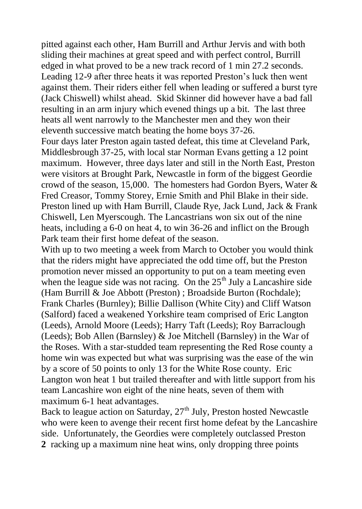pitted against each other, Ham Burrill and Arthur Jervis and with both sliding their machines at great speed and with perfect control, Burrill edged in what proved to be a new track record of 1 min 27.2 seconds. Leading 12-9 after three heats it was reported Preston's luck then went against them. Their riders either fell when leading or suffered a burst tyre (Jack Chiswell) whilst ahead. Skid Skinner did however have a bad fall resulting in an arm injury which evened things up a bit. The last three heats all went narrowly to the Manchester men and they won their eleventh successive match beating the home boys 37-26.

Four days later Preston again tasted defeat, this time at Cleveland Park, Middlesbrough 37-25, with local star Norman Evans getting a 12 point maximum. However, three days later and still in the North East, Preston were visitors at Brought Park, Newcastle in form of the biggest Geordie crowd of the season, 15,000. The homesters had Gordon Byers, Water  $\&$ Fred Creasor, Tommy Storey, Ernie Smith and Phil Blake in their side. Preston lined up with Ham Burrill, Claude Rye, Jack Lund, Jack & Frank Chiswell, Len Myerscough. The Lancastrians won six out of the nine heats, including a 6-0 on heat 4, to win 36-26 and inflict on the Brough Park team their first home defeat of the season.

With up to two meeting a week from March to October you would think that the riders might have appreciated the odd time off, but the Preston promotion never missed an opportunity to put on a team meeting even when the league side was not racing. On the  $25<sup>th</sup>$  July a Lancashire side (Ham Burrill & Joe Abbott (Preston) ; Broadside Burton (Rochdale); Frank Charles (Burnley); Billie Dallison (White City) and Cliff Watson (Salford) faced a weakened Yorkshire team comprised of Eric Langton (Leeds), Arnold Moore (Leeds); Harry Taft (Leeds); Roy Barraclough (Leeds); Bob Allen (Barnsley) & Joe Mitchell (Barnsley) in the War of the Roses. With a star-studded team representing the Red Rose county a home win was expected but what was surprising was the ease of the win by a score of 50 points to only 13 for the White Rose county. Eric Langton won heat 1 but trailed thereafter and with little support from his team Lancashire won eight of the nine heats, seven of them with maximum 6-1 heat advantages.

Back to league action on Saturday,  $27<sup>th</sup>$  July, Preston hosted Newcastle who were keen to avenge their recent first home defeat by the Lancashire side. Unfortunately, the Geordies were completely outclassed Preston **2** racking up a maximum nine heat wins, only dropping three points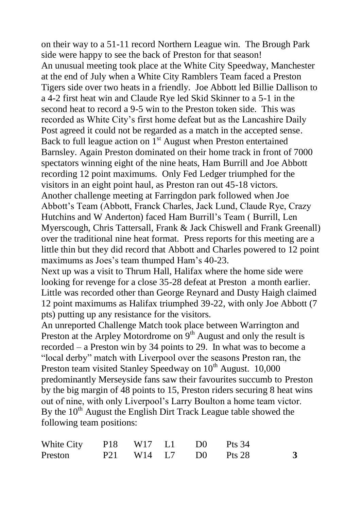on their way to a 51-11 record Northern League win. The Brough Park side were happy to see the back of Preston for that season! An unusual meeting took place at the White City Speedway, Manchester at the end of July when a White City Ramblers Team faced a Preston Tigers side over two heats in a friendly. Joe Abbott led Billie Dallison to a 4-2 first heat win and Claude Rye led Skid Skinner to a 5-1 in the second heat to record a 9-5 win to the Preston token side. This was recorded as White City's first home defeat but as the Lancashire Daily Post agreed it could not be regarded as a match in the accepted sense. Back to full league action on  $1<sup>st</sup>$  August when Preston entertained Barnsley. Again Preston dominated on their home track in front of 7000 spectators winning eight of the nine heats, Ham Burrill and Joe Abbott recording 12 point maximums. Only Fed Ledger triumphed for the visitors in an eight point haul, as Preston ran out 45-18 victors. Another challenge meeting at Farringdon park followed when Joe Abbott's Team (Abbott, Franck Charles, Jack Lund, Claude Rye, Crazy Hutchins and W Anderton) faced Ham Burrill's Team ( Burrill, Len Myerscough, Chris Tattersall, Frank & Jack Chiswell and Frank Greenall) over the traditional nine heat format. Press reports for this meeting are a little thin but they did record that Abbott and Charles powered to 12 point maximums as Joes's team thumped Ham's 40-23.

Next up was a visit to Thrum Hall, Halifax where the home side were looking for revenge for a close 35-28 defeat at Preston a month earlier. Little was recorded other than George Reynard and Dusty Haigh claimed 12 point maximums as Halifax triumphed 39-22, with only Joe Abbott (7 pts) putting up any resistance for the visitors.

An unreported Challenge Match took place between Warrington and Preston at the Arpley Motordrome on  $9<sup>th</sup>$  August and only the result is recorded – a Preston win by 34 points to 29. In what was to become a "local derby" match with Liverpool over the seasons Preston ran, the Preston team visited Stanley Speedway on 10<sup>th</sup> August. 10,000 predominantly Merseyside fans saw their favourites succumb to Preston by the big margin of 48 points to 15, Preston riders securing 8 heat wins out of nine, with only Liverpool's Larry Boulton a home team victor. By the 10<sup>th</sup> August the English Dirt Track League table showed the following team positions:

| White City P18 W17 L1 D0 Pts 34 |  |  |                      |  |
|---------------------------------|--|--|----------------------|--|
| Preston                         |  |  | P21 W14 L7 D0 Pts 28 |  |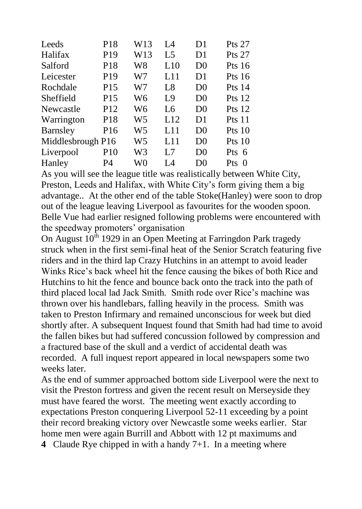| Leeds             | P18             | W13 | I A            | D1             | <b>Pts 27</b> |
|-------------------|-----------------|-----|----------------|----------------|---------------|
| Halifax           | P <sub>19</sub> | W13 | L5             | D1             | <b>Pts 27</b> |
| Salford           | P18             | W8  | L10            | D <sub>0</sub> | Pts $16$      |
| Leicester         | P19             | W7  | L11            | D1             | Pts $16$      |
| Rochdale          | P <sub>15</sub> | W7  | L8             | D <sub>0</sub> | Pts $14$      |
| Sheffield         | P <sub>15</sub> | W6  | L9             | D <sub>0</sub> | Pts $12$      |
| Newcastle         | P <sub>12</sub> | W6  | Lб             | D <sub>0</sub> | Pts $12$      |
| Warrington        | P <sub>18</sub> | W5  | L12            | D1             | Pts 11        |
| <b>Barnsley</b>   | P <sub>16</sub> | W5  | L11            | D <sub>0</sub> | Pts10         |
| Middlesbrough P16 |                 | W5  | L11            | D <sub>0</sub> | Pts10         |
| Liverpool         | P <sub>10</sub> | W3  | L <sub>7</sub> | D <sub>0</sub> | Pts 6         |
| Hanley            | P4              | W0  | I 4            | D <sub>0</sub> | Pts<br>- 0    |

As you will see the league title was realistically between White City, Preston, Leeds and Halifax, with White City's form giving them a big advantage.. At the other end of the table Stoke(Hanley) were soon to drop out of the league leaving Liverpool as favourites for the wooden spoon. Belle Vue had earlier resigned following problems were encountered with the speedway promoters' organisation

On August  $10^{th}$  1929 in an Open Meeting at Farringdon Park tragedy struck when in the first semi-final heat of the Senior Scratch featuring five riders and in the third lap Crazy Hutchins in an attempt to avoid leader Winks Rice's back wheel hit the fence causing the bikes of both Rice and Hutchins to hit the fence and bounce back onto the track into the path of third placed local lad Jack Smith. Smith rode over Rice's machine was thrown over his handlebars, falling heavily in the process. Smith was taken to Preston Infirmary and remained unconscious for week but died shortly after. A subsequent Inquest found that Smith had had time to avoid the fallen bikes but had suffered concussion followed by compression and a fractured base of the skull and a verdict of accidental death was recorded. A full inquest report appeared in local newspapers some two weeks later.

As the end of summer approached bottom side Liverpool were the next to visit the Preston fortress and given the recent result on Merseyside they must have feared the worst. The meeting went exactly according to expectations Preston conquering Liverpool 52-11 exceeding by a point their record breaking victory over Newcastle some weeks earlier. Star home men were again Burrill and Abbott with 12 pt maximums and **4** Claude Rye chipped in with a handy 7+1. In a meeting where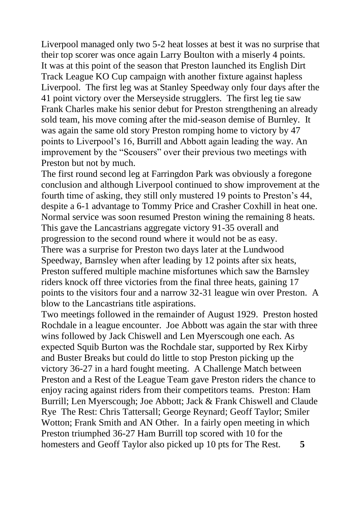Liverpool managed only two 5-2 heat losses at best it was no surprise that their top scorer was once again Larry Boulton with a miserly 4 points. It was at this point of the season that Preston launched its English Dirt Track League KO Cup campaign with another fixture against hapless Liverpool. The first leg was at Stanley Speedway only four days after the 41 point victory over the Merseyside strugglers. The first leg tie saw Frank Charles make his senior debut for Preston strengthening an already sold team, his move coming after the mid-season demise of Burnley. It was again the same old story Preston romping home to victory by 47 points to Liverpool's 16, Burrill and Abbott again leading the way. An improvement by the "Scousers" over their previous two meetings with Preston but not by much.

The first round second leg at Farringdon Park was obviously a foregone conclusion and although Liverpool continued to show improvement at the fourth time of asking, they still only mustered 19 points to Preston's 44, despite a 6-1 advantage to Tommy Price and Crasher Coxhill in heat one. Normal service was soon resumed Preston wining the remaining 8 heats. This gave the Lancastrians aggregate victory 91-35 overall and progression to the second round where it would not be as easy. There was a surprise for Preston two days later at the Lundwood Speedway, Barnsley when after leading by 12 points after six heats, Preston suffered multiple machine misfortunes which saw the Barnsley riders knock off three victories from the final three heats, gaining 17 points to the visitors four and a narrow 32-31 league win over Preston. A blow to the Lancastrians title aspirations.

Two meetings followed in the remainder of August 1929. Preston hosted Rochdale in a league encounter. Joe Abbott was again the star with three wins followed by Jack Chiswell and Len Myerscough one each. As expected Squib Burton was the Rochdale star, supported by Rex Kirby and Buster Breaks but could do little to stop Preston picking up the victory 36-27 in a hard fought meeting. A Challenge Match between Preston and a Rest of the League Team gave Preston riders the chance to enjoy racing against riders from their competitors teams. Preston: Ham Burrill; Len Myerscough; Joe Abbott; Jack & Frank Chiswell and Claude Rye The Rest: Chris Tattersall; George Reynard; Geoff Taylor; Smiler Wotton; Frank Smith and AN Other. In a fairly open meeting in which Preston triumphed 36-27 Ham Burrill top scored with 10 for the homesters and Geoff Taylor also picked up 10 pts for The Rest. **5**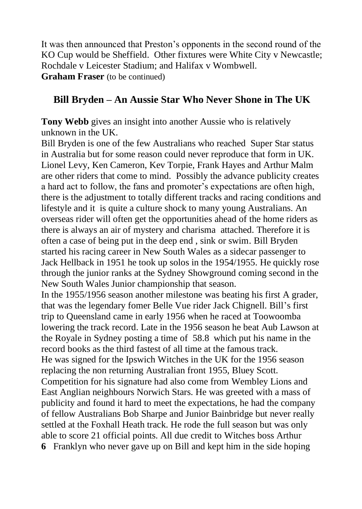It was then announced that Preston's opponents in the second round of the KO Cup would be Sheffield. Other fixtures were White City v Newcastle; Rochdale v Leicester Stadium; and Halifax v Wombwell. **Graham Fraser** (to be continued)

## **Bill Bryden – An Aussie Star Who Never Shone in The UK**

**Tony Webb** gives an insight into another Aussie who is relatively unknown in the UK.

Bill Bryden is one of the few Australians who reached Super Star status in Australia but for some reason could never reproduce that form in UK. Lionel Levy, Ken Cameron, Kev Torpie, Frank Hayes and Arthur Malm are other riders that come to mind. Possibly the advance publicity creates a hard act to follow, the fans and promoter's expectations are often high, there is the adjustment to totally different tracks and racing conditions and lifestyle and it is quite a culture shock to many young Australians. An overseas rider will often get the opportunities ahead of the home riders as there is always an air of mystery and charisma attached. Therefore it is often a case of being put in the deep end , sink or swim. Bill Bryden started his racing career in New South Wales as a sidecar passenger to Jack Hellback in 1951 he took up solos in the 1954/1955. He quickly rose through the junior ranks at the Sydney Showground coming second in the New South Wales Junior championship that season.

In the 1955/1956 season another milestone was beating his first A grader, that was the legendary fomer Belle Vue rider Jack Chignell. Bill's first trip to Queensland came in early 1956 when he raced at Toowoomba lowering the track record. Late in the 1956 season he beat Aub Lawson at the Royale in Sydney posting a time of 58.8 which put his name in the record books as the third fastest of all time at the famous track. He was signed for the Ipswich Witches in the UK for the 1956 season replacing the non returning Australian front 1955, Bluey Scott. Competition for his signature had also come from Wembley Lions and East Anglian neighbours Norwich Stars. He was greeted with a mass of publicity and found it hard to meet the expectations, he had the company of fellow Australians Bob Sharpe and Junior Bainbridge but never really settled at the Foxhall Heath track. He rode the full season but was only able to score 21 official points. All due credit to Witches boss Arthur **6** Franklyn who never gave up on Bill and kept him in the side hoping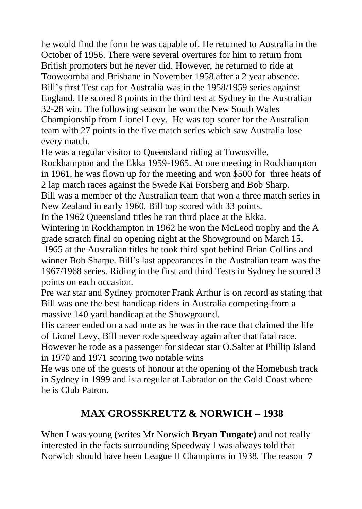he would find the form he was capable of. He returned to Australia in the October of 1956. There were several overtures for him to return from British promoters but he never did. However, he returned to ride at Toowoomba and Brisbane in November 1958 after a 2 year absence. Bill's first Test cap for Australia was in the 1958/1959 series against England. He scored 8 points in the third test at Sydney in the Australian 32-28 win. The following season he won the New South Wales Championship from Lionel Levy. He was top scorer for the Australian team with 27 points in the five match series which saw Australia lose every match.

He was a regular visitor to Queensland riding at Townsville,

Rockhampton and the Ekka 1959-1965. At one meeting in Rockhampton in 1961, he was flown up for the meeting and won \$500 for three heats of 2 lap match races against the Swede Kai Forsberg and Bob Sharp.

Bill was a member of the Australian team that won a three match series in New Zealand in early 1960. Bill top scored with 33 points.

In the 1962 Queensland titles he ran third place at the Ekka.

Wintering in Rockhampton in 1962 he won the McLeod trophy and the A grade scratch final on opening night at the Showground on March 15.

1965 at the Australian titles he took third spot behind Brian Collins and winner Bob Sharpe. Bill's last appearances in the Australian team was the 1967/1968 series. Riding in the first and third Tests in Sydney he scored 3 points on each occasion.

Pre war star and Sydney promoter Frank Arthur is on record as stating that Bill was one the best handicap riders in Australia competing from a massive 140 yard handicap at the Showground.

His career ended on a sad note as he was in the race that claimed the life of Lionel Levy, Bill never rode speedway again after that fatal race.

However he rode as a passenger for sidecar star O.Salter at Phillip Island in 1970 and 1971 scoring two notable wins

He was one of the guests of honour at the opening of the Homebush track in Sydney in 1999 and is a regular at Labrador on the Gold Coast where he is Club Patron.

# **MAX GROSSKREUTZ & NORWICH – 1938**

When I was young (writes Mr Norwich **Bryan Tungate)** and not really interested in the facts surrounding Speedway I was always told that Norwich should have been League II Champions in 1938. The reason **7**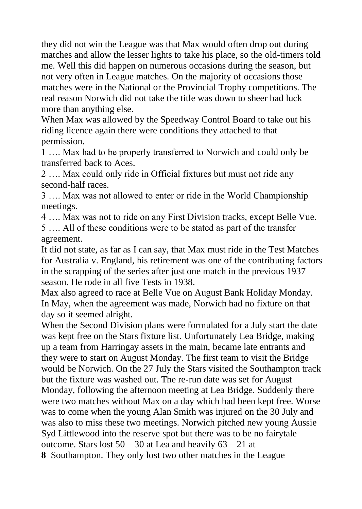they did not win the League was that Max would often drop out during matches and allow the lesser lights to take his place, so the old-timers told me. Well this did happen on numerous occasions during the season, but not very often in League matches. On the majority of occasions those matches were in the National or the Provincial Trophy competitions. The real reason Norwich did not take the title was down to sheer bad luck more than anything else.

When Max was allowed by the Speedway Control Board to take out his riding licence again there were conditions they attached to that permission.

1 …. Max had to be properly transferred to Norwich and could only be transferred back to Aces.

2 …. Max could only ride in Official fixtures but must not ride any second-half races.

3 …. Max was not allowed to enter or ride in the World Championship meetings.

4 …. Max was not to ride on any First Division tracks, except Belle Vue.

5 …. All of these conditions were to be stated as part of the transfer agreement.

It did not state, as far as I can say, that Max must ride in the Test Matches for Australia v. England, his retirement was one of the contributing factors in the scrapping of the series after just one match in the previous 1937 season. He rode in all five Tests in 1938.

Max also agreed to race at Belle Vue on August Bank Holiday Monday. In May, when the agreement was made, Norwich had no fixture on that day so it seemed alright.

When the Second Division plans were formulated for a July start the date was kept free on the Stars fixture list. Unfortunately Lea Bridge, making up a team from Harringay assets in the main, became late entrants and they were to start on August Monday. The first team to visit the Bridge would be Norwich. On the 27 July the Stars visited the Southampton track but the fixture was washed out. The re-run date was set for August Monday, following the afternoon meeting at Lea Bridge. Suddenly there were two matches without Max on a day which had been kept free. Worse was to come when the young Alan Smith was injured on the 30 July and was also to miss these two meetings. Norwich pitched new young Aussie Syd Littlewood into the reserve spot but there was to be no fairytale outcome. Stars lost  $50 - 30$  at Lea and heavily  $63 - 21$  at **8** Southampton. They only lost two other matches in the League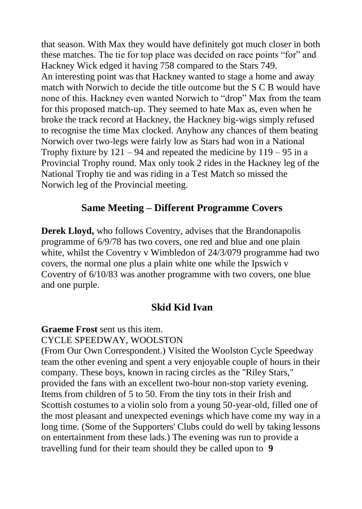that season. With Max they would have definitely got much closer in both these matches. The tie for top place was decided on race points "for" and Hackney Wick edged it having 758 compared to the Stars 749. An interesting point was that Hackney wanted to stage a home and away match with Norwich to decide the title outcome but the S C B would have none of this. Hackney even wanted Norwich to "drop" Max from the team for this proposed match-up. They seemed to hate Max as, even when he broke the track record at Hackney, the Hackney big-wigs simply refused to recognise the time Max clocked. Anyhow any chances of them beating Norwich over two-legs were fairly low as Stars had won in a National Trophy fixture by  $121 - 94$  and repeated the medicine by  $119 - 95$  in a Provincial Trophy round. Max only took 2 rides in the Hackney leg of the National Trophy tie and was riding in a Test Match so missed the Norwich leg of the Provincial meeting.

## **Same Meeting – Different Programme Covers**

**Derek Lloyd,** who follows Coventry, advises that the Brandonapolis programme of 6/9/78 has two covers, one red and blue and one plain white, whilst the Coventry v Wimbledon of 24/3/079 programme had two covers, the normal one plus a plain white one while the Ipswich v Coventry of 6/10/83 was another programme with two covers, one blue and one purple.

## **Skid Kid Ivan**

**Graeme Frost** sent us this item.

#### CYCLE SPEEDWAY, WOOLSTON

(From Our Own Correspondent.) Visited the Woolston Cycle Speedway team the other evening and spent a very enjoyable couple of hours in their company. These boys, known in racing circles as the "Riley Stars," provided the fans with an excellent two-hour non-stop variety evening. Items from children of 5 to 50. From the tiny tots in their Irish and Scottish costumes to a violin solo from a young 50-year-old, filled one of the most pleasant and unexpected evenings which have come my way in a long time. (Some of the Supporters' Clubs could do well by taking lessons on entertainment from these lads.) The evening was run to provide a travelling fund for their team should they be called upon to **9**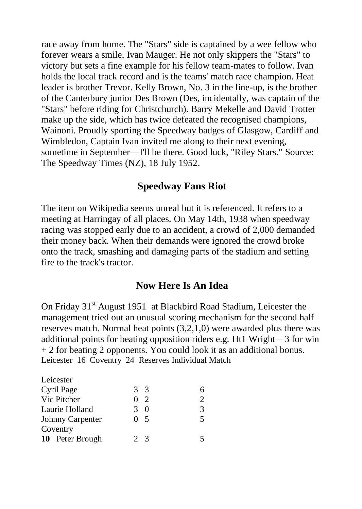race away from home. The "Stars" side is captained by a wee fellow who forever wears a smile, Ivan Mauger. He not only skippers the "Stars" to victory but sets a fine example for his fellow team-mates to follow. Ivan holds the local track record and is the teams' match race champion. Heat leader is brother Trevor. Kelly Brown, No. 3 in the line-up, is the brother of the Canterbury junior Des Brown (Des, incidentally, was captain of the "Stars" before riding for Christchurch). Barry Mekelle and David Trotter make up the side, which has twice defeated the recognised champions, Wainoni. Proudly sporting the Speedway badges of Glasgow, Cardiff and Wimbledon, Captain Ivan invited me along to their next evening, sometime in September—I'll be there. Good luck, "Riley Stars." Source: The Speedway Times (NZ), 18 July 1952.

## **Speedway Fans Riot**

The item on Wikipedia seems unreal but it is referenced. It refers to a meeting at Harringay of all places. On May 14th, 1938 when speedway racing was stopped early due to an accident, a crowd of 2,000 demanded their money back. When their demands were ignored the crowd broke onto the track, smashing and damaging parts of the stadium and setting fire to the track's tractor.

#### **Now Here Is An Idea**

On Friday 31<sup>st</sup> August 1951 at Blackbird Road Stadium, Leicester the management tried out an unusual scoring mechanism for the second half reserves match. Normal heat points (3,2,1,0) were awarded plus there was additional points for beating opposition riders e.g. Ht1 Wright – 3 for win + 2 for beating 2 opponents. You could look it as an additional bonus. Leicester 16 Coventry 24 Reserves Individual Match

| Leicester        |                |   |
|------------------|----------------|---|
| Cyril Page       | 3 <sup>3</sup> | 6 |
| Vic Pitcher      | 02             | 2 |
| Laurie Holland   | 3 O            | 3 |
| Johnny Carpenter | 0,5            | 5 |
| Coventry         |                |   |
| 10 Peter Brough  | $2^{9}$        | 5 |
|                  |                |   |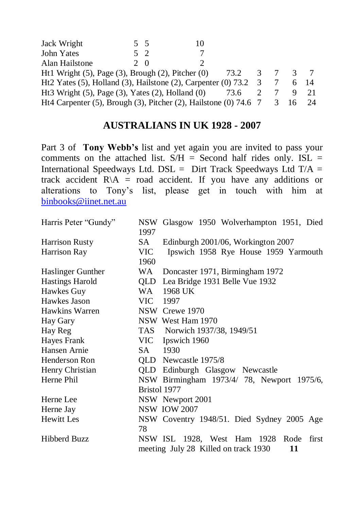| Jack Wright                                                                 | 5 5    |      |   |      |      |
|-----------------------------------------------------------------------------|--------|------|---|------|------|
| John Yates                                                                  | $5\,2$ |      |   |      |      |
| Alan Hailstone                                                              | 20     |      |   |      |      |
| Ht1 Wright $(5)$ , Page $(3)$ , Brough $(2)$ , Pitcher $(0)$                |        | 73.2 | 3 | 3    |      |
| Ht2 Yates (5), Holland (3), Hailstone (2), Carpenter (0) $73.2 \quad 3$     |        |      |   |      | - 14 |
| Ht3 Wright $(5)$ , Page $(3)$ , Yates $(2)$ , Holland $(0)$                 |        | 73.6 |   |      |      |
| Ht4 Carpenter $(5)$ , Brough $(3)$ , Pitcher $(2)$ , Hailstone $(0)$ 74.6 7 |        |      |   | 3 16 | 24   |

## **AUSTRALIANS IN UK 1928 - 2007**

Part 3 of **Tony Webb's** list and yet again you are invited to pass your comments on the attached list.  $S/H =$  Second half rides only. ISL = International Speedways Ltd. DSL = Dirt Track Speedways Ltd  $T/A$  = track accident  $R\backslash A$  = road accident. If you have any additions or alterations to Tony's list, please get in touch with him at [binbooks@iinet.net.au](mailto:binbooks@iinet.net.au) 

| Harris Peter "Gundy"   | 1997         | NSW Glasgow 1950 Wolverhampton 1951, Died                                               |
|------------------------|--------------|-----------------------------------------------------------------------------------------|
| <b>Harrison Rusty</b>  | SA -         | Edinburgh 2001/06, Workington 2007                                                      |
| Harrison Ray           | VIC.<br>1960 | Ipswich 1958 Rye House 1959 Yarmouth                                                    |
| Haslinger Gunther      | WA           | Doncaster 1971, Birmingham 1972                                                         |
| <b>Hastings Harold</b> | QLD          | Lea Bridge 1931 Belle Vue 1932                                                          |
| Hawkes Guy             | WA           | 1968 UK                                                                                 |
| Hawkes Jason           | VIC 1997     |                                                                                         |
| Hawkins Warren         |              | NSW Crewe 1970                                                                          |
| Hay Gary               |              | NSW West Ham 1970                                                                       |
| Hay Reg                |              | TAS Norwich 1937/38, 1949/51                                                            |
| Hayes Frank            |              | VIC Ipswich 1960                                                                        |
| Hansen Arnie           | SA -         | 1930                                                                                    |
| Henderson Ron          |              | QLD Newcastle 1975/8                                                                    |
| Henry Christian        |              | QLD Edinburgh Glasgow Newcastle                                                         |
| Herne Phil             |              | NSW Birmingham 1973/4/ 78, Newport 1975/6,                                              |
|                        | Bristol 1977 |                                                                                         |
| Herne Lee              |              | NSW Newport 2001                                                                        |
| Herne Jay              |              | <b>NSW IOW 2007</b>                                                                     |
| Hewitt Les             | 78           | NSW Coventry 1948/51. Died Sydney 2005 Age                                              |
| <b>Hibberd Buzz</b>    |              | NSW ISL 1928, West Ham 1928 Rode<br>first<br>meeting July 28 Killed on track 1930<br>11 |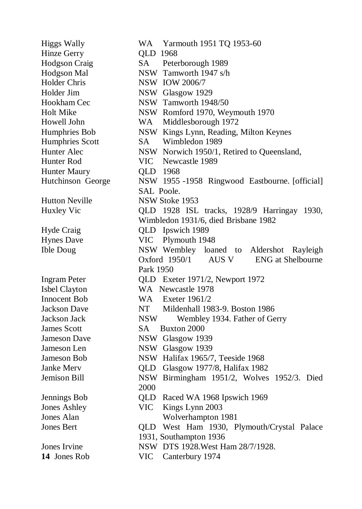| <b>Higgs Wally</b>    | WA Yarmouth 1951 TQ 1953-60                    |
|-----------------------|------------------------------------------------|
| Hinze Gerry           | QLD 1968                                       |
| Hodgson Craig         | SA Peterborough 1989                           |
| Hodgson Mal           | NSW Tamworth 1947 s/h                          |
| Holder Chris          | <b>NSW IOW 2006/7</b>                          |
| Holder Jim            | NSW Glasgow 1929                               |
| Hookham Cec           | NSW Tamworth 1948/50                           |
| <b>Holt Mike</b>      | NSW Romford 1970, Weymouth 1970                |
| Howell John           | WA Middlesborough 1972                         |
| Humphries Bob         | NSW Kings Lynn, Reading, Milton Keynes         |
| Humphries Scott       | Wimbledon 1989<br>SA –                         |
| Hunter Alec           | NSW Norwich 1950/1, Retired to Queensland,     |
| Hunter Rod            | VIC Newcastle 1989                             |
| Hunter Maury          | QLD 1968                                       |
| Hutchinson George     | NSW 1955 -1958 Ringwood Eastbourne. [official] |
|                       | SAL Poole.                                     |
| <b>Hutton Neville</b> | NSW Stoke 1953                                 |
| Huxley Vic            | QLD 1928 ISL tracks, 1928/9 Harringay 1930,    |
|                       | Wimbledon 1931/6, died Brisbane 1982           |
| Hyde Craig            | QLD Ipswich 1989                               |
| <b>Hynes Dave</b>     | VIC Plymouth 1948                              |
| <b>Ible Doug</b>      | NSW Wembley loaned to Aldershot Rayleigh       |
|                       | Oxford 1950/1 AUS V ENG at Shelbourne          |
|                       | Park 1950                                      |
| <b>Ingram Peter</b>   | QLD Exeter 1971/2, Newport 1972                |
| Isbel Clayton         | WA Newcastle 1978                              |
| Innocent Bob          | WA Exeter 1961/2                               |
| Jackson Dave          | NT Mildenhall 1983-9. Boston 1986              |
| Jackson Jack          | NSW <b>N</b><br>Wembley 1934. Father of Gerry  |
| <b>James Scott</b>    | SA Buxton 2000                                 |
| Jameson Dave          | NSW Glasgow 1939                               |
| Jameson Len           | NSW Glasgow 1939                               |
| Jameson Bob           | NSW Halifax 1965/7, Teeside 1968               |
| Janke Merv            | QLD Glasgow 1977/8, Halifax 1982               |
| Jemison Bill          | NSW Birmingham 1951/2, Wolves 1952/3. Died     |
|                       | 2000                                           |
| Jennings Bob          | QLD Raced WA 1968 Ipswich 1969                 |
| Jones Ashley          | <b>VIC</b><br>Kings Lynn 2003                  |
| Jones Alan            | Wolverhampton 1981                             |
| Jones Bert            | QLD West Ham 1930, Plymouth/Crystal Palace     |
|                       | 1931, Southampton 1936                         |
| Jones Irvine          | NSW DTS 1928. West Ham 28/7/1928.              |
| 14 Jones Rob          | <b>VIC</b><br>Canterbury 1974                  |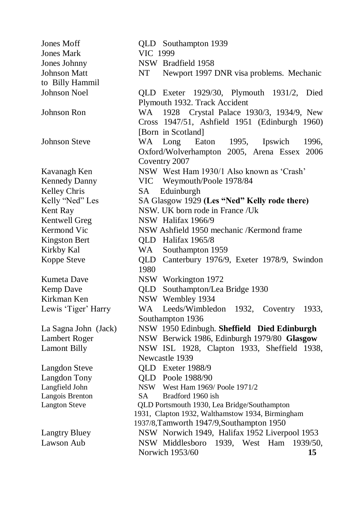| Jones Moff           | QLD Southampton 1939                             |
|----------------------|--------------------------------------------------|
| <b>Jones Mark</b>    | VIC 1999                                         |
| Jones Johnny         | NSW Bradfield 1958                               |
| <b>Johnson Matt</b>  | NT<br>Newport 1997 DNR visa problems. Mechanic   |
| to Billy Hammil      |                                                  |
| Johnson Noel         | QLD Exeter 1929/30, Plymouth 1931/2,<br>Died     |
|                      | Plymouth 1932. Track Accident                    |
| Johnson Ron          | WA.<br>1928 Crystal Palace 1930/3, 1934/9, New   |
|                      | Cross 1947/51, Ashfield 1951 (Edinburgh 1960)    |
|                      | [Born in Scotland]                               |
| <b>Johnson Steve</b> | WA<br>Long<br>Eaton<br>1995,<br>Ipswich<br>1996, |
|                      | Oxford/Wolverhampton 2005, Arena Essex 2006      |
|                      | Coventry 2007                                    |
| Kavanagh Ken         | NSW West Ham 1930/1 Also known as 'Crash'        |
| <b>Kennedy Danny</b> | <b>VIC</b><br>Weymouth/Poole 1978/84             |
| Kelley Chris         | Eduinburgh<br>SA                                 |
| Kelly "Ned" Les      | SA Glasgow 1929 (Les "Ned" Kelly rode there)     |
| Kent Ray             | NSW. UK born rode in France /Uk                  |
| Kentwell Greg        | NSW Halifax 1966/9                               |
| Kermond Vic          | NSW Ashfield 1950 mechanic /Kermond frame        |
| <b>Kingston Bert</b> | QLD Halifax 1965/8                               |
| Kirkby Kal           | WA<br>Southampton 1959                           |
| Koppe Steve          | QLD Canterbury 1976/9, Exeter 1978/9, Swindon    |
|                      | 1980                                             |
| Kumeta Dave          | NSW Workington 1972                              |
| Kemp Dave            | QLD Southampton/Lea Bridge 1930                  |
| Kirkman Ken          | NSW Wembley 1934                                 |
| Lewis 'Tiger' Harry  | WA<br>Leeds/Wimbledon 1932, Coventry 1933,       |
|                      | Southampton 1936                                 |
| La Sagna John (Jack) | NSW 1950 Edinbugh. Sheffield Died Edinburgh      |
| Lambert Roger        | NSW Berwick 1986, Edinburgh 1979/80 Glasgow      |
| <b>Lamont Billy</b>  | NSW ISL 1928, Clapton 1933, Sheffield 1938,      |
|                      | Newcastle 1939                                   |
| <b>Langdon Steve</b> | QLD Exeter 1988/9                                |
| Langdon Tony         | QLD Poole 1988/90                                |
| Langfield John       | <b>NSW</b><br>West Ham 1969/ Poole 1971/2        |
| Langois Brenton      | SA<br>Bradford 1960 ish                          |
| <b>Langton Steve</b> | QLD Portsmouth 1930, Lea Bridge/Southampton      |
|                      | 1931, Clapton 1932, Walthamstow 1934, Birmingham |
|                      | 1937/8, Tamworth 1947/9, Southampton 1950        |
| <b>Langtry Bluey</b> | NSW Norwich 1949, Halifax 1952 Liverpool 1953    |
| Lawson Aub           | NSW Middlesboro 1939, West Ham<br>1939/50,       |
|                      | Norwich 1953/60<br>15                            |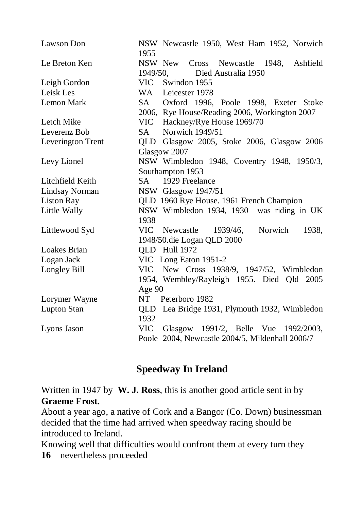| Lawson Don         | NSW Newcastle 1950, West Ham 1952, Norwich<br>1955                        |
|--------------------|---------------------------------------------------------------------------|
| Le Breton Ken      | Cross Newcastle 1948, Ashfield<br>NSW New<br>1949/50, Died Australia 1950 |
| Leigh Gordon       | VIC Swindon 1955                                                          |
| Leisk Les          | WA Leicester 1978                                                         |
| Lemon Mark         | SA Oxford 1996, Poole 1998, Exeter Stoke                                  |
|                    | 2006, Rye House/Reading 2006, Workington 2007                             |
| Letch Mike         | VIC Hackney/Rye House 1969/70                                             |
| Leverenz Bob       | Norwich 1949/51<br>SA -                                                   |
| Leverington Trent  | QLD Glasgow 2005, Stoke 2006, Glasgow 2006                                |
|                    | Glasgow 2007                                                              |
| Levy Lionel        | NSW Wimbledon 1948, Coventry 1948, 1950/3,                                |
|                    | Southampton 1953                                                          |
| Litchfield Keith   | 1929 Freelance<br>SA –                                                    |
| Lindsay Norman     | NSW Glasgow 1947/51                                                       |
| <b>Liston Ray</b>  | QLD 1960 Rye House. 1961 French Champion                                  |
| Little Wally       | NSW Wimbledon 1934, 1930 was riding in UK                                 |
|                    | 1938                                                                      |
| Littlewood Syd     | VIC Newcastle 1939/46,<br>Norwich<br>1938,                                |
|                    | 1948/50.die Logan QLD 2000                                                |
| Loakes Brian       | QLD Hull 1972                                                             |
| Logan Jack         | VIC Long Eaton 1951-2                                                     |
| Longley Bill       | New Cross 1938/9, 1947/52, Wimbledon<br>VIC                               |
|                    | 1954, Wembley/Rayleigh 1955. Died Qld 2005                                |
|                    | Age 90                                                                    |
| Lorymer Wayne      | NT Peterboro 1982                                                         |
| <b>Lupton Stan</b> | QLD Lea Bridge 1931, Plymouth 1932, Wimbledon<br>1932                     |
| Lyons Jason        | VIC Glasgow 1991/2, Belle Vue 1992/2003,                                  |
|                    | Poole 2004, Newcastle 2004/5, Mildenhall 2006/7                           |

# **Speedway In Ireland**

Written in 1947 by **W. J. Ross**, this is another good article sent in by **Graeme Frost.**

About a year ago, a native of Cork and a Bangor (Co. Down) businessman decided that the time had arrived when speedway racing should be introduced to Ireland.

Knowing well that difficulties would confront them at every turn they

**16** nevertheless proceeded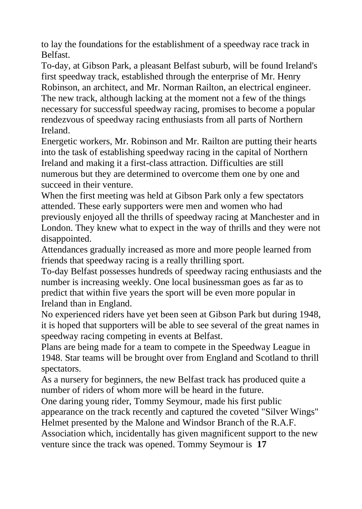to lay the foundations for the establishment of a speedway race track in Belfast.

To-day, at Gibson Park, a pleasant Belfast suburb, will be found Ireland's first speedway track, established through the enterprise of Mr. Henry Robinson, an architect, and Mr. Norman Railton, an electrical engineer. The new track, although lacking at the moment not a few of the things necessary for successful speedway racing, promises to become a popular rendezvous of speedway racing enthusiasts from all parts of Northern Ireland.

Energetic workers, Mr. Robinson and Mr. Railton are putting their hearts into the task of establishing speedway racing in the capital of Northern Ireland and making it a first-class attraction. Difficulties are still numerous but they are determined to overcome them one by one and succeed in their venture.

When the first meeting was held at Gibson Park only a few spectators attended. These early supporters were men and women who had previously enjoyed all the thrills of speedway racing at Manchester and in London. They knew what to expect in the way of thrills and they were not disappointed.

Attendances gradually increased as more and more people learned from friends that speedway racing is a really thrilling sport.

To-day Belfast possesses hundreds of speedway racing enthusiasts and the number is increasing weekly. One local businessman goes as far as to predict that within five years the sport will be even more popular in Ireland than in England.

No experienced riders have yet been seen at Gibson Park but during 1948, it is hoped that supporters will be able to see several of the great names in speedway racing competing in events at Belfast.

Plans are being made for a team to compete in the Speedway League in 1948. Star teams will be brought over from England and Scotland to thrill spectators.

As a nursery for beginners, the new Belfast track has produced quite a number of riders of whom more will be heard in the future.

One daring young rider, Tommy Seymour, made his first public

appearance on the track recently and captured the coveted "Silver Wings" Helmet presented by the Malone and Windsor Branch of the R.A.F.

Association which, incidentally has given magnificent support to the new venture since the track was opened. Tommy Seymour is **17**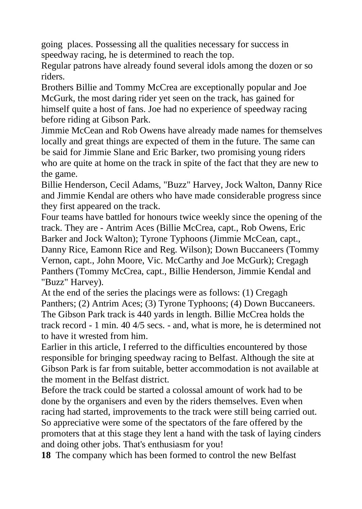going places. Possessing all the qualities necessary for success in speedway racing, he is determined to reach the top.

Regular patrons have already found several idols among the dozen or so riders.

Brothers Billie and Tommy McCrea are exceptionally popular and Joe McGurk, the most daring rider yet seen on the track, has gained for himself quite a host of fans. Joe had no experience of speedway racing before riding at Gibson Park.

Jimmie McCean and Rob Owens have already made names for themselves locally and great things are expected of them in the future. The same can be said for Jimmie Slane and Eric Barker, two promising young riders who are quite at home on the track in spite of the fact that they are new to the game.

Billie Henderson, Cecil Adams, "Buzz" Harvey, Jock Walton, Danny Rice and Jimmie Kendal are others who have made considerable progress since they first appeared on the track.

Four teams have battled for honours twice weekly since the opening of the track. They are - Antrim Aces (Billie McCrea, capt., Rob Owens, Eric Barker and Jock Walton); Tyrone Typhoons (Jimmie McCean, capt., Danny Rice, Eamonn Rice and Reg. Wilson); Down Buccaneers (Tommy Vernon, capt., John Moore, Vic. McCarthy and Joe McGurk); Cregagh Panthers (Tommy McCrea, capt., Billie Henderson, Jimmie Kendal and "Buzz" Harvey).

At the end of the series the placings were as follows: (1) Cregagh Panthers; (2) Antrim Aces; (3) Tyrone Typhoons; (4) Down Buccaneers. The Gibson Park track is 440 yards in length. Billie McCrea holds the track record - 1 min. 40 4/5 secs. - and, what is more, he is determined not to have it wrested from him.

Earlier in this article, I referred to the difficulties encountered by those responsible for bringing speedway racing to Belfast. Although the site at Gibson Park is far from suitable, better accommodation is not available at the moment in the Belfast district.

Before the track could be started a colossal amount of work had to be done by the organisers and even by the riders themselves. Even when racing had started, improvements to the track were still being carried out. So appreciative were some of the spectators of the fare offered by the promoters that at this stage they lent a hand with the task of laying cinders and doing other jobs. That's enthusiasm for you!

**18** The company which has been formed to control the new Belfast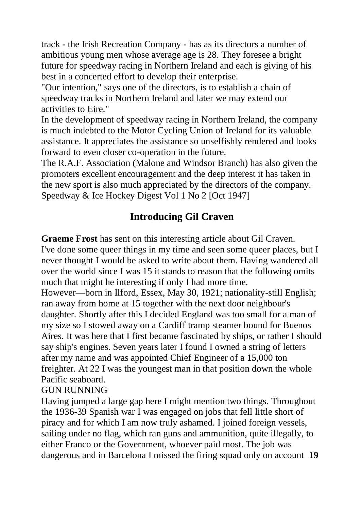track - the Irish Recreation Company - has as its directors a number of ambitious young men whose average age is 28. They foresee a bright future for speedway racing in Northern Ireland and each is giving of his best in a concerted effort to develop their enterprise.

"Our intention," says one of the directors, is to establish a chain of speedway tracks in Northern Ireland and later we may extend our activities to Eire."

In the development of speedway racing in Northern Ireland, the company is much indebted to the Motor Cycling Union of Ireland for its valuable assistance. It appreciates the assistance so unselfishly rendered and looks forward to even closer co-operation in the future.

The R.A.F. Association (Malone and Windsor Branch) has also given the promoters excellent encouragement and the deep interest it has taken in the new sport is also much appreciated by the directors of the company. Speedway & Ice Hockey Digest Vol 1 No 2 [Oct 1947]

# **Introducing Gil Craven**

**Graeme Frost** has sent on this interesting article about Gil Craven. I've done some queer things in my time and seen some queer places, but I never thought I would be asked to write about them. Having wandered all over the world since I was 15 it stands to reason that the following omits much that might he interesting if only I had more time.

However—born in Ilford, Essex, May 30, 1921; nationality-still English; ran away from home at 15 together with the next door neighbour's daughter. Shortly after this I decided England was too small for a man of my size so I stowed away on a Cardiff tramp steamer bound for Buenos Aires. It was here that I first became fascinated by ships, or rather I should say ship's engines. Seven years later I found I owned a string of letters after my name and was appointed Chief Engineer of a 15,000 ton freighter. At 22 I was the youngest man in that position down the whole Pacific seaboard.

GUN RUNNING

Having jumped a large gap here I might mention two things. Throughout the 1936-39 Spanish war I was engaged on jobs that fell little short of piracy and for which I am now truly ashamed. I joined foreign vessels, sailing under no flag, which ran guns and ammunition, quite illegally, to either Franco or the Government, whoever paid most. The job was dangerous and in Barcelona I missed the firing squad only on account **19**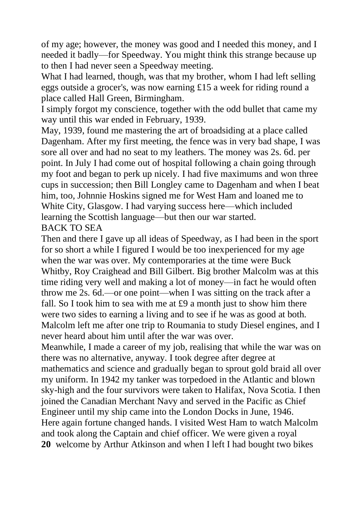of my age; however, the money was good and I needed this money, and I needed it badly—for Speedway. You might think this strange because up to then I had never seen a Speedway meeting.

What I had learned, though, was that my brother, whom I had left selling eggs outside a grocer's, was now earning £15 a week for riding round a place called Hall Green, Birmingham.

I simply forgot my conscience, together with the odd bullet that came my way until this war ended in February, 1939.

May, 1939, found me mastering the art of broadsiding at a place called Dagenham. After my first meeting, the fence was in very bad shape, I was sore all over and had no seat to my leathers. The money was 2s. 6d. per point. In July I had come out of hospital following a chain going through my foot and began to perk up nicely. I had five maximums and won three cups in succession; then Bill Longley came to Dagenham and when I beat him, too, Johnnie Hoskins signed me for West Ham and loaned me to White City, Glasgow. I had varying success here—which included learning the Scottish language—but then our war started. BACK TO SEA

Then and there I gave up all ideas of Speedway, as I had been in the sport for so short a while I figured I would be too inexperienced for my age when the war was over. My contemporaries at the time were Buck Whitby, Roy Craighead and Bill Gilbert. Big brother Malcolm was at this time riding very well and making a lot of money—in fact he would often throw me 2s. 6d.—or one point—when I was sitting on the track after a fall. So I took him to sea with me at £9 a month just to show him there were two sides to earning a living and to see if he was as good at both. Malcolm left me after one trip to Roumania to study Diesel engines, and I never heard about him until after the war was over.

Meanwhile, I made a career of my job, realising that while the war was on there was no alternative, anyway. I took degree after degree at mathematics and science and gradually began to sprout gold braid all over my uniform. In 1942 my tanker was torpedoed in the Atlantic and blown sky-high and the four survivors were taken to Halifax, Nova Scotia. I then joined the Canadian Merchant Navy and served in the Pacific as Chief Engineer until my ship came into the London Docks in June, 1946. Here again fortune changed hands. I visited West Ham to watch Malcolm and took along the Captain and chief officer. We were given a royal **20** welcome by Arthur Atkinson and when I left I had bought two bikes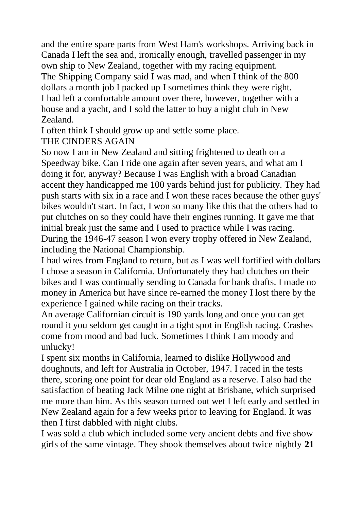and the entire spare parts from West Ham's workshops. Arriving back in Canada I left the sea and, ironically enough, travelled passenger in my own ship to New Zealand, together with my racing equipment. The Shipping Company said I was mad, and when I think of the 800 dollars a month job I packed up I sometimes think they were right. I had left a comfortable amount over there, however, together with a house and a yacht, and I sold the latter to buy a night club in New Zealand.

I often think I should grow up and settle some place.

## THE CINDERS AGAIN

So now I am in New Zealand and sitting frightened to death on a Speedway bike. Can I ride one again after seven years, and what am I doing it for, anyway? Because I was English with a broad Canadian accent they handicapped me 100 yards behind just for publicity. They had push starts with six in a race and I won these races because the other guys' bikes wouldn't start. In fact, I won so many like this that the others had to put clutches on so they could have their engines running. It gave me that initial break just the same and I used to practice while I was racing. During the 1946-47 season I won every trophy offered in New Zealand, including the National Championship.

I had wires from England to return, but as I was well fortified with dollars I chose a season in California. Unfortunately they had clutches on their bikes and I was continually sending to Canada for bank drafts. I made no money in America but have since re-earned the money I lost there by the experience I gained while racing on their tracks.

An average Californian circuit is 190 yards long and once you can get round it you seldom get caught in a tight spot in English racing. Crashes come from mood and bad luck. Sometimes I think I am moody and unlucky!

I spent six months in California, learned to dislike Hollywood and doughnuts, and left for Australia in October, 1947. I raced in the tests there, scoring one point for dear old England as a reserve. I also had the satisfaction of beating Jack Milne one night at Brisbane, which surprised me more than him. As this season turned out wet I left early and settled in New Zealand again for a few weeks prior to leaving for England. It was then I first dabbled with night clubs.

I was sold a club which included some very ancient debts and five show girls of the same vintage. They shook themselves about twice nightly **21**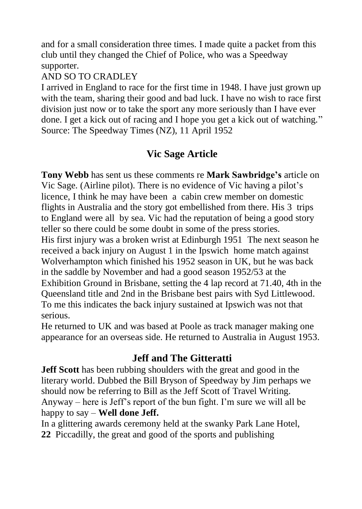and for a small consideration three times. I made quite a packet from this club until they changed the Chief of Police, who was a Speedway supporter.

## AND SO TO CRADLEY

I arrived in England to race for the first time in 1948. I have just grown up with the team, sharing their good and bad luck. I have no wish to race first division just now or to take the sport any more seriously than I have ever done. I get a kick out of racing and I hope you get a kick out of watching." Source: The Speedway Times (NZ), 11 April 1952

# **Vic Sage Article**

**Tony Webb** has sent us these comments re **Mark Sawbridge's** article on Vic Sage. (Airline pilot). There is no evidence of Vic having a pilot's licence, I think he may have been a cabin crew member on domestic flights in Australia and the story got embellished from there. His 3 trips to England were all by sea. Vic had the reputation of being a good story teller so there could be some doubt in some of the press stories. His first injury was a broken wrist at Edinburgh 1951 The next season he received a back injury on August 1 in the Ipswich home match against Wolverhampton which finished his 1952 season in UK, but he was back in the saddle by November and had a good season 1952/53 at the Exhibition Ground in Brisbane, setting the 4 lap record at 71.40, 4th in the Queensland title and 2nd in the Brisbane best pairs with Syd Littlewood. To me this indicates the back injury sustained at Ipswich was not that serious.

He returned to UK and was based at Poole as track manager making one appearance for an overseas side. He returned to Australia in August 1953.

# **Jeff and The Gitteratti**

**Jeff Scott** has been rubbing shoulders with the great and good in the literary world. Dubbed the Bill Bryson of Speedway by Jim perhaps we should now be referring to Bill as the Jeff Scott of Travel Writing. Anyway – here is Jeff's report of the bun fight. I'm sure we will all be happy to say – **Well done Jeff.**

In a glittering awards ceremony held at the swanky Park Lane Hotel, **22** Piccadilly, the great and good of the sports and publishing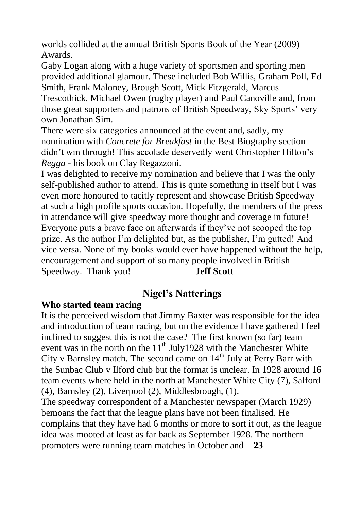worlds collided at the annual British Sports Book of the Year (2009) Awards.

Gaby Logan along with a huge variety of sportsmen and sporting men provided additional glamour. These included Bob Willis, Graham Poll, Ed Smith, Frank Maloney, Brough Scott, Mick Fitzgerald, Marcus Trescothick, Michael Owen (rugby player) and Paul Canoville and, from those great supporters and patrons of British Speedway, Sky Sports' very own Jonathan Sim.

There were six categories announced at the event and, sadly, my nomination with *Concrete for Breakfast* in the Best Biography section didn't win through! This accolade deservedly went Christopher Hilton's *Regga* - his book on Clay Regazzoni.

I was delighted to receive my nomination and believe that I was the only self-published author to attend. This is quite something in itself but I was even more honoured to tacitly represent and showcase British Speedway at such a high profile sports occasion. Hopefully, the members of the press in attendance will give speedway more thought and coverage in future! Everyone puts a brave face on afterwards if they've not scooped the top prize. As the author I'm delighted but, as the publisher, I'm gutted! And vice versa. None of my books would ever have happened without the help, encouragement and support of so many people involved in British Speedway. Thank you! **Jeff Scott**

# **Nigel's Natterings**

#### **Who started team racing**

It is the perceived wisdom that Jimmy Baxter was responsible for the idea and introduction of team racing, but on the evidence I have gathered I feel inclined to suggest this is not the case? The first known (so far) team event was in the north on the  $11<sup>th</sup>$  July1928 with the Manchester White City v Barnsley match. The second came on  $14<sup>th</sup>$  July at Perry Barr with the Sunbac Club v Ilford club but the format is unclear. In 1928 around 16 team events where held in the north at Manchester White City (7), Salford (4), Barnsley (2), Liverpool (2), Middlesbrough, (1). The speedway correspondent of a Manchester newspaper (March 1929) bemoans the fact that the league plans have not been finalised. He complains that they have had 6 months or more to sort it out, as the league idea was mooted at least as far back as September 1928. The northern

promoters were running team matches in October and **23**